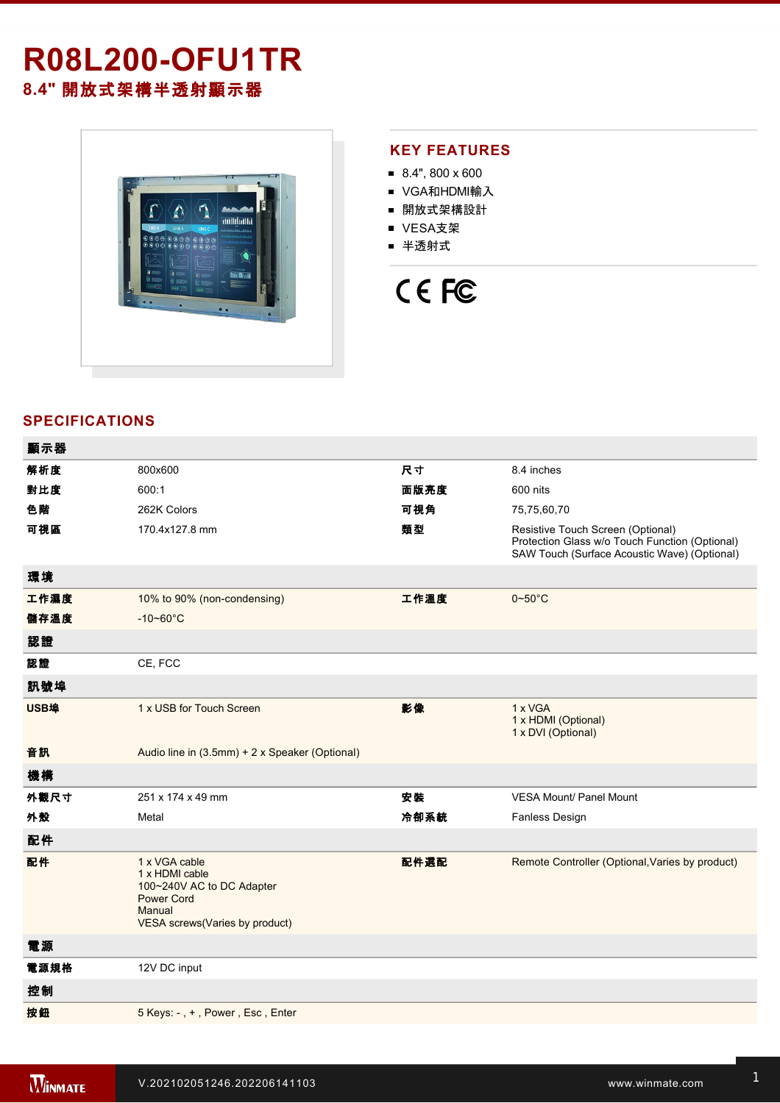# **R08L200-OFU1TR 8.4"** 開放式架構半透射顯示器



### **KEY FEATURES**

- $8.4$ ", 800 x 600
- VGA和HDMI輸入
- 開放式架構設計
- VESA支架
- 半透射式

# CE FC

## **SPECIFICATIONS**

| 顯示器  |                                                                                                                               |      |                                                                                                                                     |
|------|-------------------------------------------------------------------------------------------------------------------------------|------|-------------------------------------------------------------------------------------------------------------------------------------|
| 解析度  | 800x600                                                                                                                       | 尺寸   | 8.4 inches                                                                                                                          |
| 對比度  | 600:1                                                                                                                         | 面版亮度 | 600 nits                                                                                                                            |
| 色階   | 262K Colors                                                                                                                   | 可視角  | 75,75,60,70                                                                                                                         |
| 可視區  | 170.4x127.8 mm                                                                                                                | 類型   | Resistive Touch Screen (Optional)<br>Protection Glass w/o Touch Function (Optional)<br>SAW Touch (Surface Acoustic Wave) (Optional) |
| 環境   |                                                                                                                               |      |                                                                                                                                     |
| 工作濕度 | 10% to 90% (non-condensing)                                                                                                   | 工作溫度 | $0 - 50^{\circ}$ C                                                                                                                  |
| 儲存溫度 | $-10 - 60^{\circ}$ C                                                                                                          |      |                                                                                                                                     |
| 認證   |                                                                                                                               |      |                                                                                                                                     |
| 認證   | CE, FCC                                                                                                                       |      |                                                                                                                                     |
| 訊號埠  |                                                                                                                               |      |                                                                                                                                     |
| USB埠 | 1 x USB for Touch Screen                                                                                                      | 影像   | 1 x VGA<br>1 x HDMI (Optional)<br>1 x DVI (Optional)                                                                                |
| 音訊   | Audio line in (3.5mm) + 2 x Speaker (Optional)                                                                                |      |                                                                                                                                     |
| 機構   |                                                                                                                               |      |                                                                                                                                     |
| 外觀尺寸 | 251 x 174 x 49 mm                                                                                                             | 安裝   | <b>VESA Mount/ Panel Mount</b>                                                                                                      |
| 外殼   | Metal                                                                                                                         | 冷卻系統 | <b>Fanless Design</b>                                                                                                               |
| 配件   |                                                                                                                               |      |                                                                                                                                     |
| 配件   | 1 x VGA cable<br>1 x HDMI cable<br>100~240V AC to DC Adapter<br><b>Power Cord</b><br>Manual<br>VESA screws(Varies by product) | 配件選配 | Remote Controller (Optional, Varies by product)                                                                                     |
| 電源   |                                                                                                                               |      |                                                                                                                                     |
| 電源規格 | 12V DC input                                                                                                                  |      |                                                                                                                                     |
| 控制   |                                                                                                                               |      |                                                                                                                                     |
| 按鈕   | 5 Keys: -, +, Power, Esc, Enter                                                                                               |      |                                                                                                                                     |
|      |                                                                                                                               |      |                                                                                                                                     |

**DIMENSIONS**  UNIT:MM